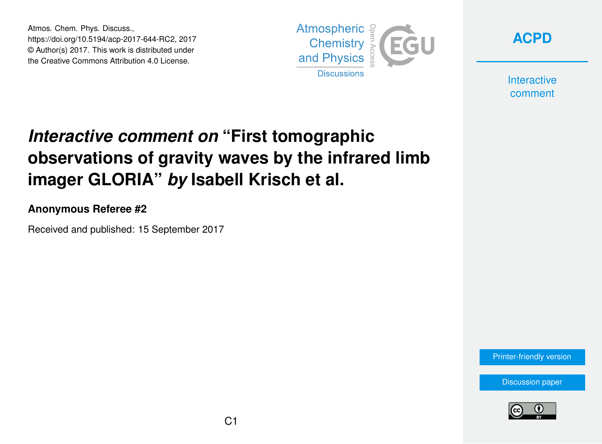Atmos. Chem. Phys. Discuss., https://doi.org/10.5194/acp-2017-644-RC2, 2017 © Author(s) 2017. This work is distributed under the Creative Commons Attribution 4.0 License.





**Interactive** comment

## *Interactive comment on* **"First tomographic observations of gravity waves by the infrared limb imager GLORIA"** *by* **Isabell Krisch et al.**

**Anonymous Referee #2**

Received and published: 15 September 2017

[Printer-friendly version](https://www.atmos-chem-phys-discuss.net/acp-2017-644/acp-2017-644-RC2-print.pdf)

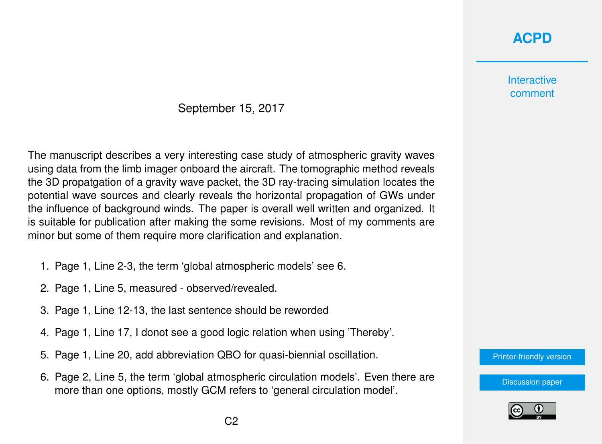## **[ACPD](https://www.atmos-chem-phys-discuss.net/)**

## **Interactive** comment

## September 15, 2017

The manuscript describes a very interesting case study of atmospheric gravity waves using data from the limb imager onboard the aircraft. The tomographic method reveals the 3D propatgation of a gravity wave packet, the 3D ray-tracing simulation locates the potential wave sources and clearly reveals the horizontal propagation of GWs under the influence of background winds. The paper is overall well written and organized. It is suitable for publication after making the some revisions. Most of my comments are minor but some of them require more clarification and explanation.

- 1. Page 1, Line 2-3, the term 'global atmospheric models' see 6.
- 2. Page 1, Line 5, measured observed/revealed.
- 3. Page 1, Line 12-13, the last sentence should be reworded
- 4. Page 1, Line 17, I donot see a good logic relation when using 'Thereby'.
- 5. Page 1, Line 20, add abbreviation QBO for quasi-biennial oscillation.
- 6. Page 2, Line 5, the term 'global atmospheric circulation models'. Even there are more than one options, mostly GCM refers to 'general circulation model'.



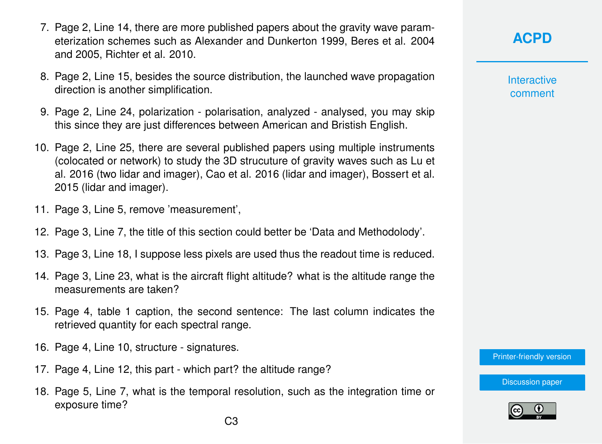- 7. Page 2, Line 14, there are more published papers about the gravity wave parameterization schemes such as Alexander and Dunkerton 1999, Beres et al. 2004 and 2005, Richter et al. 2010.
- 8. Page 2, Line 15, besides the source distribution, the launched wave propagation direction is another simplification.
- 9. Page 2, Line 24, polarization polarisation, analyzed analysed, you may skip this since they are just differences between American and Bristish English.
- 10. Page 2, Line 25, there are several published papers using multiple instruments (colocated or network) to study the 3D strucuture of gravity waves such as Lu et al. 2016 (two lidar and imager), Cao et al. 2016 (lidar and imager), Bossert et al. 2015 (lidar and imager).
- 11. Page 3, Line 5, remove 'measurement',
- 12. Page 3, Line 7, the title of this section could better be 'Data and Methodolody'.
- 13. Page 3, Line 18, I suppose less pixels are used thus the readout time is reduced.
- 14. Page 3, Line 23, what is the aircraft flight altitude? what is the altitude range the measurements are taken?
- 15. Page 4, table 1 caption, the second sentence: The last column indicates the retrieved quantity for each spectral range.
- 16. Page 4, Line 10, structure signatures.
- 17. Page 4, Line 12, this part which part? the altitude range?
- 18. Page 5, Line 7, what is the temporal resolution, such as the integration time or exposure time?

**[ACPD](https://www.atmos-chem-phys-discuss.net/)**

**Interactive** comment

[Printer-friendly version](https://www.atmos-chem-phys-discuss.net/acp-2017-644/acp-2017-644-RC2-print.pdf)

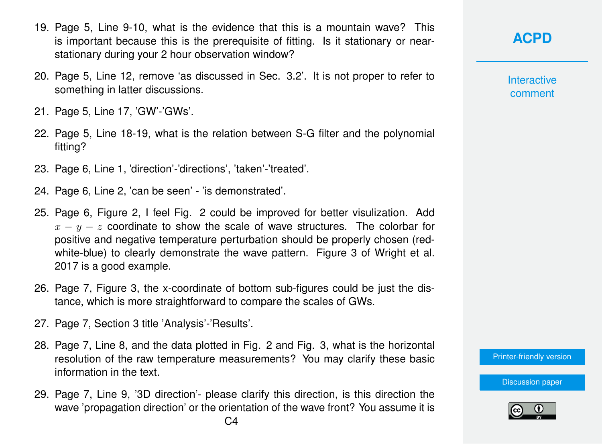- 19. Page 5, Line 9-10, what is the evidence that this is a mountain wave? This is important because this is the prerequisite of fitting. Is it stationary or nearstationary during your 2 hour observation window?
- 20. Page 5, Line 12, remove 'as discussed in Sec. 3.2'. It is not proper to refer to something in latter discussions.
- 21. Page 5, Line 17, 'GW'-'GWs'.
- 22. Page 5, Line 18-19, what is the relation between S-G filter and the polynomial fitting?
- 23. Page 6, Line 1, 'direction'-'directions', 'taken'-'treated'.
- 24. Page 6, Line 2, 'can be seen' 'is demonstrated'.
- 25. Page 6, Figure 2, I feel Fig. 2 could be improved for better visulization. Add  $x - y - z$  coordinate to show the scale of wave structures. The colorbar for positive and negative temperature perturbation should be properly chosen (redwhite-blue) to clearly demonstrate the wave pattern. Figure 3 of Wright et al. 2017 is a good example.
- 26. Page 7, Figure 3, the x-coordinate of bottom sub-figures could be just the distance, which is more straightforward to compare the scales of GWs.
- 27. Page 7, Section 3 title 'Analysis'-'Results'.
- 28. Page 7, Line 8, and the data plotted in Fig. 2 and Fig. 3, what is the horizontal resolution of the raw temperature measurements? You may clarify these basic information in the text.
- 29. Page 7, Line 9, '3D direction'- please clarify this direction, is this direction the wave 'propagation direction' or the orientation of the wave front? You assume it is

**Interactive** comment

[Printer-friendly version](https://www.atmos-chem-phys-discuss.net/acp-2017-644/acp-2017-644-RC2-print.pdf)

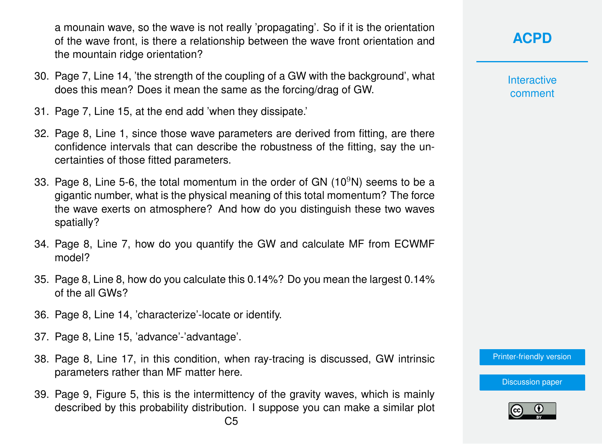a mounain wave, so the wave is not really 'propagating'. So if it is the orientation of the wave front, is there a relationship between the wave front orientation and the mountain ridge orientation?

- 30. Page 7, Line 14, 'the strength of the coupling of a GW with the background', what does this mean? Does it mean the same as the forcing/drag of GW.
- 31. Page 7, Line 15, at the end add 'when they dissipate.'
- 32. Page 8, Line 1, since those wave parameters are derived from fitting, are there confidence intervals that can describe the robustness of the fitting, say the uncertainties of those fitted parameters.
- 33. Page 8, Line 5-6, the total momentum in the order of GN  $(10^9N)$  seems to be a gigantic number, what is the physical meaning of this total momentum? The force the wave exerts on atmosphere? And how do you distinguish these two waves spatially?
- 34. Page 8, Line 7, how do you quantify the GW and calculate MF from ECWMF model?
- 35. Page 8, Line 8, how do you calculate this 0.14%? Do you mean the largest 0.14% of the all GWs?
- 36. Page 8, Line 14, 'characterize'-locate or identify.
- 37. Page 8, Line 15, 'advance'-'advantage'.
- 38. Page 8, Line 17, in this condition, when ray-tracing is discussed, GW intrinsic parameters rather than MF matter here.
- 39. Page 9, Figure 5, this is the intermittency of the gravity waves, which is mainly described by this probability distribution. I suppose you can make a similar plot

**Interactive** comment

[Printer-friendly version](https://www.atmos-chem-phys-discuss.net/acp-2017-644/acp-2017-644-RC2-print.pdf)